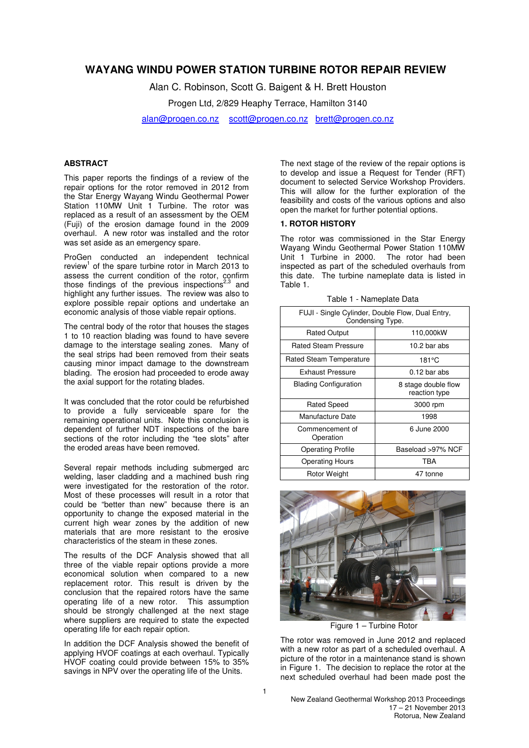# **WAYANG WINDU POWER STATION TURBINE ROTOR REPAIR REVIEW**

Alan C. Robinson, Scott G. Baigent & H. Brett Houston

Progen Ltd, 2/829 Heaphy Terrace, Hamilton 3140

alan@progen.co.nz scott@progen.co.nz brett@progen.co.nz

## **ABSTRACT**

This paper reports the findings of a review of the repair options for the rotor removed in 2012 from the Star Energy Wayang Windu Geothermal Power Station 110MW Unit 1 Turbine. The rotor was replaced as a result of an assessment by the OEM (Fuji) of the erosion damage found in the 2009 overhaul. A new rotor was installed and the rotor was set aside as an emergency spare.

ProGen conducted an independent technical review<sup>1</sup> of the spare turbine rotor in March 2013 to assess the current condition of the rotor, confirm those findings of the previous inspections $2,3$  and highlight any further issues. The review was also to explore possible repair options and undertake an economic analysis of those viable repair options.

The central body of the rotor that houses the stages 1 to 10 reaction blading was found to have severe damage to the interstage sealing zones. Many of the seal strips had been removed from their seats causing minor impact damage to the downstream blading. The erosion had proceeded to erode away the axial support for the rotating blades.

It was concluded that the rotor could be refurbished to provide a fully serviceable spare for the remaining operational units. Note this conclusion is dependent of further NDT inspections of the bare sections of the rotor including the "tee slots" after the eroded areas have been removed.

Several repair methods including submerged arc welding, laser cladding and a machined bush ring were investigated for the restoration of the rotor. Most of these processes will result in a rotor that could be "better than new" because there is an opportunity to change the exposed material in the current high wear zones by the addition of new materials that are more resistant to the erosive characteristics of the steam in these zones.

The results of the DCF Analysis showed that all three of the viable repair options provide a more economical solution when compared to a new replacement rotor. This result is driven by the conclusion that the repaired rotors have the same operating life of a new rotor. This assumption should be strongly challenged at the next stage where suppliers are required to state the expected operating life for each repair option.

In addition the DCF Analysis showed the benefit of applying HVOF coatings at each overhaul. Typically HVOF coating could provide between 15% to 35% savings in NPV over the operating life of the Units.

The next stage of the review of the repair options is to develop and issue a Request for Tender (RFT) document to selected Service Workshop Providers. This will allow for the further exploration of the feasibility and costs of the various options and also open the market for further potential options.

#### **1. ROTOR HISTORY**

The rotor was commissioned in the Star Energy Wayang Windu Geothermal Power Station 110MW Unit 1 Turbine in 2000. The rotor had been inspected as part of the scheduled overhauls from this date. The turbine nameplate data is listed in Table 1.

| FUJI - Single Cylinder, Double Flow, Dual Entry,<br>Condensing Type. |                                      |  |  |  |
|----------------------------------------------------------------------|--------------------------------------|--|--|--|
| <b>Rated Output</b>                                                  | 110,000kW                            |  |  |  |
| Rated Steam Pressure                                                 | 10.2 bar abs                         |  |  |  |
| Rated Steam Temperature                                              | 181°C                                |  |  |  |
| Exhaust Pressure                                                     | $0.12$ bar abs                       |  |  |  |
| <b>Blading Configuration</b>                                         | 8 stage double flow<br>reaction type |  |  |  |
| <b>Rated Speed</b>                                                   | 3000 rpm                             |  |  |  |
| Manufacture Date                                                     | 1998                                 |  |  |  |
| Commencement of<br>Operation                                         | 6 June 2000                          |  |  |  |
| <b>Operating Profile</b>                                             | Baseload >97% NCF                    |  |  |  |
| <b>Operating Hours</b>                                               | TBA                                  |  |  |  |
| Rotor Weight                                                         | 47 tonne                             |  |  |  |

Table 1 - Nameplate Data



Figure 1 – Turbine Rotor

The rotor was removed in June 2012 and replaced with a new rotor as part of a scheduled overhaul. A picture of the rotor in a maintenance stand is shown in Figure 1. The decision to replace the rotor at the next scheduled overhaul had been made post the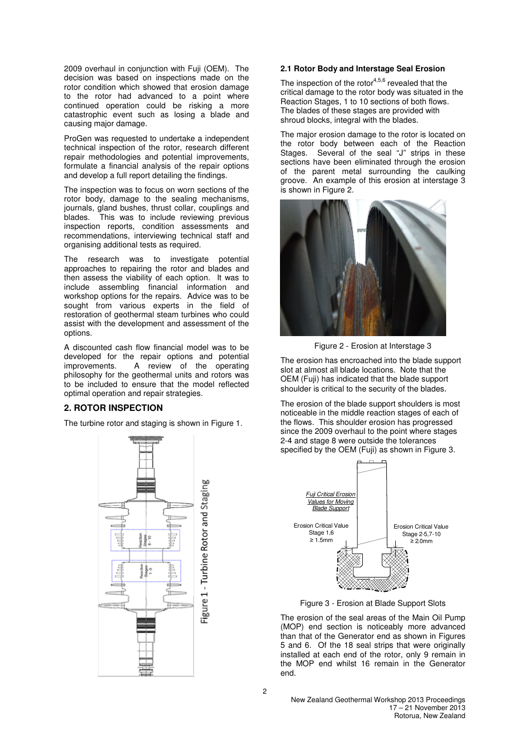2009 overhaul in conjunction with Fuji (OEM). The decision was based on inspections made on the rotor condition which showed that erosion damage to the rotor had advanced to a point where continued operation could be risking a more catastrophic event such as losing a blade and causing major damage.

ProGen was requested to undertake a independent technical inspection of the rotor, research different repair methodologies and potential improvements, formulate a financial analysis of the repair options and develop a full report detailing the findings.

The inspection was to focus on worn sections of the rotor body, damage to the sealing mechanisms, journals, gland bushes, thrust collar, couplings and blades. This was to include reviewing previous inspection reports, condition assessments and recommendations, interviewing technical staff and organising additional tests as required.

The research was to investigate potential approaches to repairing the rotor and blades and then assess the viability of each option. It was to include assembling financial information and workshop options for the repairs. Advice was to be sought from various experts in the field of restoration of geothermal steam turbines who could assist with the development and assessment of the options.

A discounted cash flow financial model was to be developed for the repair options and potential improvements. A review of the operating philosophy for the geothermal units and rotors was to be included to ensure that the model reflected optimal operation and repair strategies.

#### **2. ROTOR INSPECTION**

The turbine rotor and staging is shown in Figure 1.



#### **2.1 Rotor Body and Interstage Seal Erosion**

The inspection of the rotor $4,5,6$  revealed that the critical damage to the rotor body was situated in the Reaction Stages, 1 to 10 sections of both flows. The blades of these stages are provided with shroud blocks, integral with the blades.

The major erosion damage to the rotor is located on the rotor body between each of the Reaction Stages. Several of the seal "J" strips in these sections have been eliminated through the erosion of the parent metal surrounding the caulking groove. An example of this erosion at interstage 3 is shown in Figure 2.



Figure 2 - Erosion at Interstage 3

The erosion has encroached into the blade support slot at almost all blade locations. Note that the OEM (Fuji) has indicated that the blade support shoulder is critical to the security of the blades.

The erosion of the blade support shoulders is most noticeable in the middle reaction stages of each of the flows. This shoulder erosion has progressed since the 2009 overhaul to the point where stages 2-4 and stage 8 were outside the tolerances specified by the OEM (Fuji) as shown in Figure 3.



Figure 3 - Erosion at Blade Support Slots

The erosion of the seal areas of the Main Oil Pump (MOP) end section is noticeably more advanced than that of the Generator end as shown in Figures 5 and 6. Of the 18 seal strips that were originally installed at each end of the rotor, only 9 remain in the MOP end whilst 16 remain in the Generator end.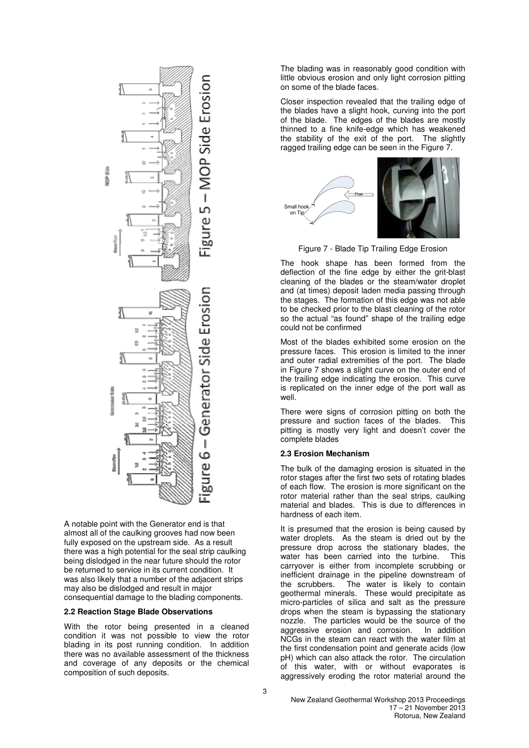

A notable point with the Generator end is that almost all of the caulking grooves had now been fully exposed on the upstream side. As a result there was a high potential for the seal strip caulking being dislodged in the near future should the rotor be returned to service in its current condition. It was also likely that a number of the adjacent strips may also be dislodged and result in major consequential damage to the blading components.

#### **2.2 Reaction Stage Blade Observations**

With the rotor being presented in a cleaned condition it was not possible to view the rotor blading in its post running condition. In addition there was no available assessment of the thickness and coverage of any deposits or the chemical composition of such deposits.

The blading was in reasonably good condition with little obvious erosion and only light corrosion pitting on some of the blade faces.

Closer inspection revealed that the trailing edge of the blades have a slight hook, curving into the port of the blade. The edges of the blades are mostly thinned to a fine knife-edge which has weakened the stability of the exit of the port. The slightly ragged trailing edge can be seen in the Figure 7.



Figure 7 - Blade Tip Trailing Edge Erosion

The hook shape has been formed from the deflection of the fine edge by either the grit-blast cleaning of the blades or the steam/water droplet and (at times) deposit laden media passing through the stages. The formation of this edge was not able to be checked prior to the blast cleaning of the rotor so the actual "as found" shape of the trailing edge could not be confirmed

Most of the blades exhibited some erosion on the pressure faces. This erosion is limited to the inner and outer radial extremities of the port. The blade in Figure 7 shows a slight curve on the outer end of the trailing edge indicating the erosion. This curve is replicated on the inner edge of the port wall as well.

There were signs of corrosion pitting on both the pressure and suction faces of the blades. This pitting is mostly very light and doesn't cover the complete blades

## **2.3 Erosion Mechanism**

The bulk of the damaging erosion is situated in the rotor stages after the first two sets of rotating blades of each flow. The erosion is more significant on the rotor material rather than the seal strips, caulking material and blades. This is due to differences in hardness of each item.

It is presumed that the erosion is being caused by water droplets. As the steam is dried out by the pressure drop across the stationary blades, the water has been carried into the turbine. This carryover is either from incomplete scrubbing or inefficient drainage in the pipeline downstream of the scrubbers. The water is likely to contain geothermal minerals. These would precipitate as micro-particles of silica and salt as the pressure drops when the steam is bypassing the stationary nozzle. The particles would be the source of the aggressive erosion and corrosion. In addition NCGs in the steam can react with the water film at the first condensation point and generate acids (low pH) which can also attack the rotor. The circulation of this water, with or without evaporates is aggressively eroding the rotor material around the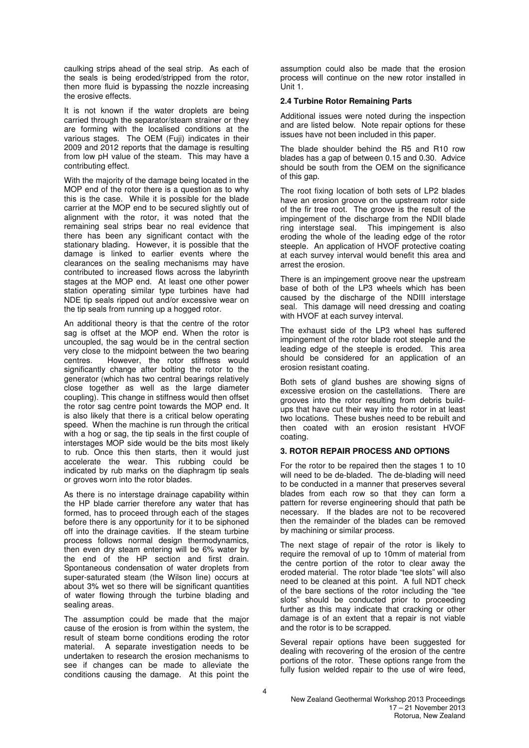caulking strips ahead of the seal strip. As each of the seals is being eroded/stripped from the rotor, then more fluid is bypassing the nozzle increasing the erosive effects.

It is not known if the water droplets are being carried through the separator/steam strainer or they are forming with the localised conditions at the various stages. The OEM (Fuji) indicates in their 2009 and 2012 reports that the damage is resulting from low pH value of the steam. This may have a contributing effect.

With the majority of the damage being located in the MOP end of the rotor there is a question as to why this is the case. While it is possible for the blade carrier at the MOP end to be secured slightly out of alignment with the rotor, it was noted that the remaining seal strips bear no real evidence that there has been any significant contact with the stationary blading. However, it is possible that the damage is linked to earlier events where the clearances on the sealing mechanisms may have contributed to increased flows across the labyrinth stages at the MOP end. At least one other power station operating similar type turbines have had NDE tip seals ripped out and/or excessive wear on the tip seals from running up a hogged rotor.

An additional theory is that the centre of the rotor sag is offset at the MOP end. When the rotor is uncoupled, the sag would be in the central section very close to the midpoint between the two bearing<br>centres. However. the rotor stiffness would However, the rotor stiffness would significantly change after bolting the rotor to the generator (which has two central bearings relatively close together as well as the large diameter coupling). This change in stiffness would then offset the rotor sag centre point towards the MOP end. It is also likely that there is a critical below operating speed. When the machine is run through the critical with a hog or sag, the tip seals in the first couple of interstages MOP side would be the bits most likely to rub. Once this then starts, then it would just accelerate the wear. This rubbing could be indicated by rub marks on the diaphragm tip seals or groves worn into the rotor blades.

As there is no interstage drainage capability within the HP blade carrier therefore any water that has formed, has to proceed through each of the stages before there is any opportunity for it to be siphoned off into the drainage cavities. If the steam turbine process follows normal design thermodynamics, then even dry steam entering will be 6% water by the end of the HP section and first drain. Spontaneous condensation of water droplets from super-saturated steam (the Wilson line) occurs at about 3% wet so there will be significant quantities of water flowing through the turbine blading and sealing areas.

The assumption could be made that the major cause of the erosion is from within the system, the result of steam borne conditions eroding the rotor material. A separate investigation needs to be undertaken to research the erosion mechanisms to see if changes can be made to alleviate the conditions causing the damage. At this point the

assumption could also be made that the erosion process will continue on the new rotor installed in Unit 1.

#### **2.4 Turbine Rotor Remaining Parts**

Additional issues were noted during the inspection and are listed below. Note repair options for these issues have not been included in this paper.

The blade shoulder behind the R5 and R10 row blades has a gap of between 0.15 and 0.30. Advice should be south from the OEM on the significance of this gap.

The root fixing location of both sets of LP2 blades have an erosion groove on the upstream rotor side of the fir tree root. The groove is the result of the impingement of the discharge from the NDII blade ring interstage seal. This impingement is also eroding the whole of the leading edge of the rotor steeple. An application of HVOF protective coating at each survey interval would benefit this area and arrest the erosion.

There is an impingement groove near the upstream base of both of the LP3 wheels which has been caused by the discharge of the NDIII interstage seal. This damage will need dressing and coating with HVOF at each survey interval.

The exhaust side of the LP3 wheel has suffered impingement of the rotor blade root steeple and the leading edge of the steeple is eroded. This area should be considered for an application of an erosion resistant coating.

Both sets of gland bushes are showing signs of excessive erosion on the castellations. There are grooves into the rotor resulting from debris buildups that have cut their way into the rotor in at least two locations. These bushes need to be rebuilt and then coated with an erosion resistant HVOF coating.

## **3. ROTOR REPAIR PROCESS AND OPTIONS**

For the rotor to be repaired then the stages 1 to 10 will need to be de-bladed. The de-blading will need to be conducted in a manner that preserves several blades from each row so that they can form a pattern for reverse engineering should that path be necessary. If the blades are not to be recovered then the remainder of the blades can be removed by machining or similar process.

The next stage of repair of the rotor is likely to require the removal of up to 10mm of material from the centre portion of the rotor to clear away the eroded material. The rotor blade "tee slots" will also need to be cleaned at this point. A full NDT check of the bare sections of the rotor including the "tee slots" should be conducted prior to proceeding further as this may indicate that cracking or other damage is of an extent that a repair is not viable and the rotor is to be scrapped.

Several repair options have been suggested for dealing with recovering of the erosion of the centre portions of the rotor. These options range from the fully fusion welded repair to the use of wire feed,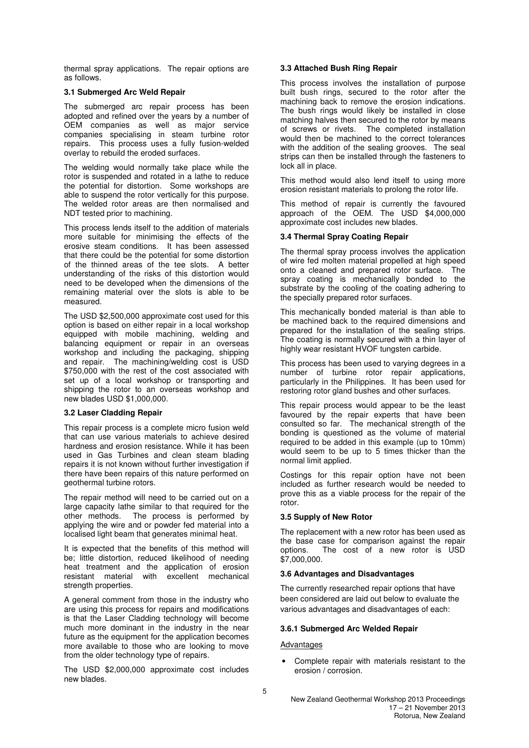thermal spray applications. The repair options are as follows.

#### **3.1 Submerged Arc Weld Repair**

The submerged arc repair process has been adopted and refined over the years by a number of OEM companies as well as major service companies specialising in steam turbine rotor repairs. This process uses a fully fusion-welded overlay to rebuild the eroded surfaces.

The welding would normally take place while the rotor is suspended and rotated in a lathe to reduce the potential for distortion. Some workshops are able to suspend the rotor vertically for this purpose. The welded rotor areas are then normalised and NDT tested prior to machining.

This process lends itself to the addition of materials more suitable for minimising the effects of the erosive steam conditions. It has been assessed that there could be the potential for some distortion of the thinned areas of the tee slots. A better understanding of the risks of this distortion would need to be developed when the dimensions of the remaining material over the slots is able to be measured.

The USD \$2,500,000 approximate cost used for this option is based on either repair in a local workshop equipped with mobile machining, welding and balancing equipment or repair in an overseas workshop and including the packaging, shipping and repair. The machining/welding cost is USD \$750,000 with the rest of the cost associated with set up of a local workshop or transporting and shipping the rotor to an overseas workshop and new blades USD \$1,000,000.

## **3.2 Laser Cladding Repair**

This repair process is a complete micro fusion weld that can use various materials to achieve desired hardness and erosion resistance. While it has been used in Gas Turbines and clean steam blading repairs it is not known without further investigation if there have been repairs of this nature performed on geothermal turbine rotors.

The repair method will need to be carried out on a large capacity lathe similar to that required for the other methods. The process is performed by applying the wire and or powder fed material into a localised light beam that generates minimal heat.

It is expected that the benefits of this method will be; little distortion, reduced likelihood of needing heat treatment and the application of erosion resistant material with excellent mechanical strength properties.

A general comment from those in the industry who are using this process for repairs and modifications is that the Laser Cladding technology will become much more dominant in the industry in the near future as the equipment for the application becomes more available to those who are looking to move from the older technology type of repairs.

The USD \$2,000,000 approximate cost includes new blades.

## **3.3 Attached Bush Ring Repair**

This process involves the installation of purpose built bush rings, secured to the rotor after the machining back to remove the erosion indications. The bush rings would likely be installed in close matching halves then secured to the rotor by means of screws or rivets. The completed installation would then be machined to the correct tolerances with the addition of the sealing grooves. The seal strips can then be installed through the fasteners to lock all in place.

This method would also lend itself to using more erosion resistant materials to prolong the rotor life.

This method of repair is currently the favoured approach of the OEM. The USD \$4,000,000 approximate cost includes new blades.

## **3.4 Thermal Spray Coating Repair**

The thermal spray process involves the application of wire fed molten material propelled at high speed onto a cleaned and prepared rotor surface. The spray coating is mechanically bonded to the substrate by the cooling of the coating adhering to the specially prepared rotor surfaces.

This mechanically bonded material is than able to be machined back to the required dimensions and prepared for the installation of the sealing strips. The coating is normally secured with a thin layer of highly wear resistant HVOF tungsten carbide.

This process has been used to varying degrees in a number of turbine rotor repair applications, particularly in the Philippines. It has been used for restoring rotor gland bushes and other surfaces.

This repair process would appear to be the least favoured by the repair experts that have been consulted so far. The mechanical strength of the bonding is questioned as the volume of material required to be added in this example (up to 10mm) would seem to be up to 5 times thicker than the normal limit applied.

Costings for this repair option have not been included as further research would be needed to prove this as a viable process for the repair of the rotor.

## **3.5 Supply of New Rotor**

The replacement with a new rotor has been used as the base case for comparison against the repair options. The cost of a new rotor is USD \$7,000,000.

## **3.6 Advantages and Disadvantages**

The currently researched repair options that have been considered are laid out below to evaluate the various advantages and disadvantages of each:

## **3.6.1 Submerged Arc Welded Repair**

#### Advantages

• Complete repair with materials resistant to the erosion / corrosion.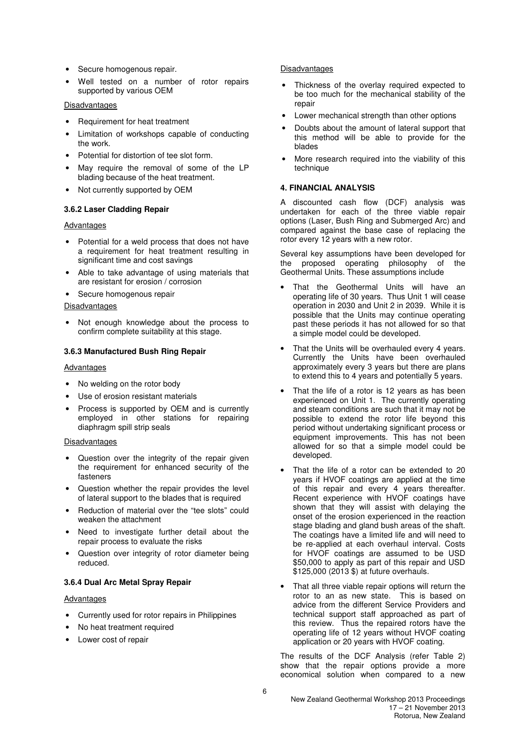- Secure homogenous repair.
- Well tested on a number of rotor repairs supported by various OEM

## Disadvantages

- Requirement for heat treatment
- Limitation of workshops capable of conducting the work.
- Potential for distortion of tee slot form.
- May require the removal of some of the LP blading because of the heat treatment.
- Not currently supported by OEM

## **3.6.2 Laser Cladding Repair**

#### **Advantages**

- Potential for a weld process that does not have a requirement for heat treatment resulting in significant time and cost savings
- Able to take advantage of using materials that are resistant for erosion / corrosion
- Secure homogenous repair

#### **Disadvantages**

• Not enough knowledge about the process to confirm complete suitability at this stage.

#### **3.6.3 Manufactured Bush Ring Repair**

#### Advantages

- No welding on the rotor body
- Use of erosion resistant materials
- Process is supported by OEM and is currently employed in other stations for repairing diaphragm spill strip seals

#### Disadvantages

- Question over the integrity of the repair given the requirement for enhanced security of the fasteners
- Question whether the repair provides the level of lateral support to the blades that is required
- Reduction of material over the "tee slots" could weaken the attachment
- Need to investigate further detail about the repair process to evaluate the risks
- Question over integrity of rotor diameter being reduced.

## **3.6.4 Dual Arc Metal Spray Repair**

#### Advantages

- Currently used for rotor repairs in Philippines
- No heat treatment required
- Lower cost of repair

#### **Disadvantages**

- Thickness of the overlay required expected to be too much for the mechanical stability of the repair
- Lower mechanical strength than other options
- Doubts about the amount of lateral support that this method will be able to provide for the blades
- More research required into the viability of this technique

#### **4. FINANCIAL ANALYSIS**

A discounted cash flow (DCF) analysis was undertaken for each of the three viable repair options (Laser, Bush Ring and Submerged Arc) and compared against the base case of replacing the rotor every 12 years with a new rotor.

Several key assumptions have been developed for the proposed operating philosophy of the Geothermal Units. These assumptions include

- That the Geothermal Units will have an operating life of 30 years. Thus Unit 1 will cease operation in 2030 and Unit 2 in 2039. While it is possible that the Units may continue operating past these periods it has not allowed for so that a simple model could be developed.
- That the Units will be overhauled every 4 years. Currently the Units have been overhauled approximately every 3 years but there are plans to extend this to 4 years and potentially 5 years.
- That the life of a rotor is 12 years as has been experienced on Unit 1. The currently operating and steam conditions are such that it may not be possible to extend the rotor life beyond this period without undertaking significant process or equipment improvements. This has not been allowed for so that a simple model could be developed.
- That the life of a rotor can be extended to 20 years if HVOF coatings are applied at the time of this repair and every 4 years thereafter. Recent experience with HVOF coatings have shown that they will assist with delaying the onset of the erosion experienced in the reaction stage blading and gland bush areas of the shaft. The coatings have a limited life and will need to be re-applied at each overhaul interval. Costs for HVOF coatings are assumed to be USD \$50,000 to apply as part of this repair and USD \$125,000 (2013 \$) at future overhauls.
- That all three viable repair options will return the rotor to an as new state. This is based on advice from the different Service Providers and technical support staff approached as part of this review. Thus the repaired rotors have the operating life of 12 years without HVOF coating application or 20 years with HVOF coating.

The results of the DCF Analysis (refer Table 2) show that the repair options provide a more economical solution when compared to a new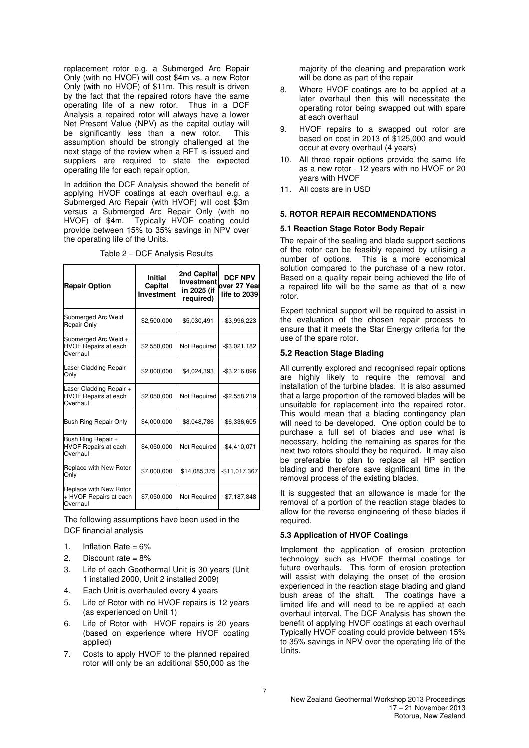replacement rotor e.g. a Submerged Arc Repair Only (with no HVOF) will cost \$4m vs. a new Rotor Only (with no HVOF) of \$11m. This result is driven by the fact that the repaired rotors have the same operating life of a new rotor. Thus in a DCF Analysis a repaired rotor will always have a lower Net Present Value (NPV) as the capital outlay will be significantly less than a new rotor. This assumption should be strongly challenged at the next stage of the review when a RFT is issued and suppliers are required to state the expected operating life for each repair option.

In addition the DCF Analysis showed the benefit of applying HVOF coatings at each overhaul e.g. a Submerged Arc Repair (with HVOF) will cost \$3m versus a Submerged Arc Repair Only (with no HVOF) of \$4m. Typically HVOF coating could provide between 15% to 35% savings in NPV over the operating life of the Units.

| <b>Repair Option</b>                                               | Initial<br>Capital<br><b>Investment</b> | 2nd Capital<br><b>Investment</b><br>in 2025 (if<br>required) | <b>DCF NPV</b><br>over 27 Yeal<br>life to 2039 |
|--------------------------------------------------------------------|-----------------------------------------|--------------------------------------------------------------|------------------------------------------------|
| Submerged Arc Weld<br>Repair Only                                  | \$2,500,000                             | \$5,030,491                                                  | $-$3,996,223$                                  |
| Submerged Arc Weld +<br>HVOF Repairs at each<br>Overhaul           | \$2,550,000                             | Not Required                                                 | $-$3,021,182$                                  |
| Laser Cladding Repair<br>Only                                      | \$2,000,000                             | \$4,024,393                                                  | $-$3,216,096$                                  |
| Laser Cladding Repair +<br><b>HVOF Repairs at each</b><br>Overhaul | \$2,050,000                             | Not Required                                                 | $-$2,558,219$                                  |
| Bush Ring Repair Only                                              | \$4,000,000                             | \$8,048,786                                                  | $-$6,336,605$                                  |
| Bush Ring Repair +<br><b>HVOF Repairs at each</b><br>Overhaul      | \$4,050,000                             | Not Required                                                 | $-$4,410,071$                                  |
| Replace with New Rotor<br>Only                                     | \$7,000,000                             | \$14,085,375                                                 | $-$11,017,367$                                 |
| Replace with New Rotor<br>+ HVOF Repairs at each<br>Overhaul       | \$7,050,000                             | Not Required                                                 | $-$7,187,848$                                  |

Table 2 – DCF Analysis Results

The following assumptions have been used in the DCF financial analysis

- 1. Inflation Rate =  $6\%$
- 2. Discount rate = 8%
- 3. Life of each Geothermal Unit is 30 years (Unit 1 installed 2000, Unit 2 installed 2009)
- 4. Each Unit is overhauled every 4 years
- 5. Life of Rotor with no HVOF repairs is 12 years (as experienced on Unit 1)
- 6. Life of Rotor with HVOF repairs is 20 years (based on experience where HVOF coating applied)
- 7. Costs to apply HVOF to the planned repaired rotor will only be an additional \$50,000 as the

majority of the cleaning and preparation work will be done as part of the repair

- 8. Where HVOF coatings are to be applied at a later overhaul then this will necessitate the operating rotor being swapped out with spare at each overhaul
- 9. HVOF repairs to a swapped out rotor are based on cost in 2013 of \$125,000 and would occur at every overhaul (4 years)
- 10. All three repair options provide the same life as a new rotor - 12 years with no HVOF or 20 years with HVOF
- 11. All costs are in USD

#### **5. ROTOR REPAIR RECOMMENDATIONS**

#### **5.1 Reaction Stage Rotor Body Repair**

The repair of the sealing and blade support sections of the rotor can be feasibly repaired by utilising a number of options. This is a more economical solution compared to the purchase of a new rotor. Based on a quality repair being achieved the life of a repaired life will be the same as that of a new rotor.

Expert technical support will be required to assist in the evaluation of the chosen repair process to ensure that it meets the Star Energy criteria for the use of the spare rotor.

#### **5.2 Reaction Stage Blading**

All currently explored and recognised repair options are highly likely to require the removal and installation of the turbine blades. It is also assumed that a large proportion of the removed blades will be unsuitable for replacement into the repaired rotor. This would mean that a blading contingency plan will need to be developed. One option could be to purchase a full set of blades and use what is necessary, holding the remaining as spares for the next two rotors should they be required. It may also be preferable to plan to replace all HP section blading and therefore save significant time in the removal process of the existing blades.

It is suggested that an allowance is made for the removal of a portion of the reaction stage blades to allow for the reverse engineering of these blades if required.

#### **5.3 Application of HVOF Coatings**

Implement the application of erosion protection technology such as HVOF thermal coatings for future overhauls. This form of erosion protection will assist with delaying the onset of the erosion experienced in the reaction stage blading and gland bush areas of the shaft. The coatings have a limited life and will need to be re-applied at each overhaul interval. The DCF Analysis has shown the benefit of applying HVOF coatings at each overhaul Typically HVOF coating could provide between 15% to 35% savings in NPV over the operating life of the Units.